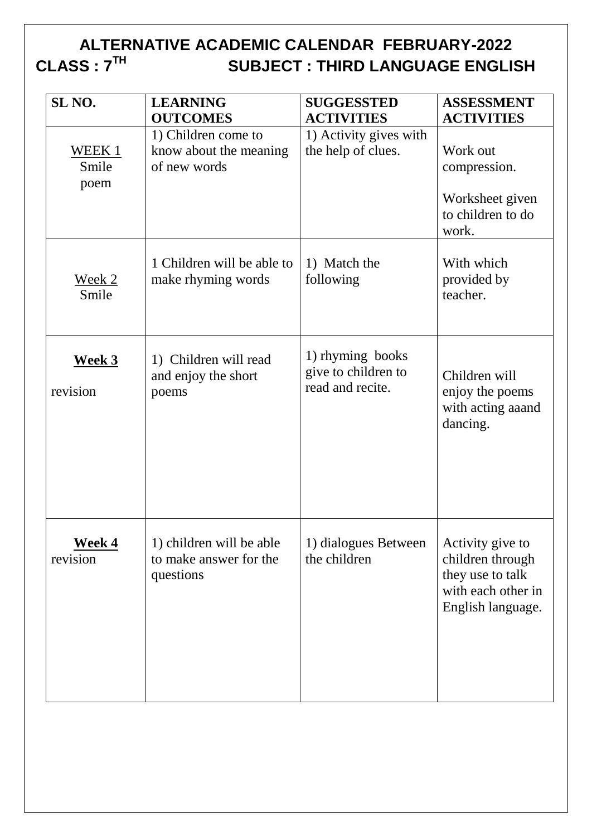#### **ALTERNATIVE ACADEMIC CALENDAR FEBRUARY-2022 CLASS : 7TH SUBJECT : THIRD LANGUAGE ENGLISH**

| SL <sub>NO.</sub>         | <b>LEARNING</b><br><b>OUTCOMES</b>                              | <b>SUGGESSTED</b><br><b>ACTIVITIES</b>                      | <b>ASSESSMENT</b><br><b>ACTIVITIES</b>                                                              |
|---------------------------|-----------------------------------------------------------------|-------------------------------------------------------------|-----------------------------------------------------------------------------------------------------|
| WEEK 1<br>Smile<br>poem   | 1) Children come to<br>know about the meaning<br>of new words   | 1) Activity gives with<br>the help of clues.                | Work out<br>compression.<br>Worksheet given<br>to children to do<br>work.                           |
| <u>Week 2</u><br>Smile    | 1 Children will be able to<br>make rhyming words                | 1) Match the<br>following                                   | With which<br>provided by<br>teacher.                                                               |
| <b>Week 3</b><br>revision | 1) Children will read<br>and enjoy the short<br>poems           | 1) rhyming books<br>give to children to<br>read and recite. | Children will<br>enjoy the poems<br>with acting aaand<br>dancing.                                   |
| <u>Week 4</u><br>revision | 1) children will be able<br>to make answer for the<br>questions | 1) dialogues Between<br>the children                        | Activity give to<br>children through<br>they use to talk<br>with each other in<br>English language. |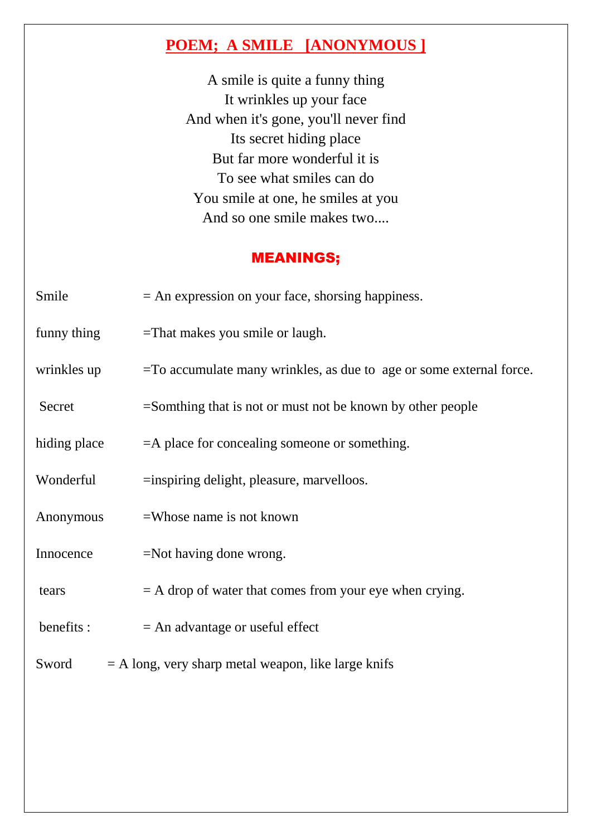## **POEM; A SMILE [ANONYMOUS ]**

A smile is quite a funny thing It wrinkles up your face And when it's gone, you'll never find Its secret hiding place But far more wonderful it is To see what smiles can do You smile at one, he smiles at you And so one smile makes two....

### MEANINGS;

| Smile        | $=$ An expression on your face, shorsing happiness.                    |
|--------------|------------------------------------------------------------------------|
| funny thing  | $=$ That makes you smile or laugh.                                     |
| wrinkles up  | $=$ To accumulate many wrinkles, as due to age or some external force. |
| Secret       | $=$ Somthing that is not or must not be known by other people          |
| hiding place | =A place for concealing someone or something.                          |
| Wonderful    | $=$ inspiring delight, pleasure, marvelloos.                           |
| Anonymous    | $=$ Whose name is not known                                            |
| Innocence    | $=$ Not having done wrong.                                             |
| tears        | $=$ A drop of water that comes from your eye when crying.              |
| benefits :   | $=$ An advantage or useful effect                                      |
| Sword        | $=$ A long, very sharp metal weapon, like large knifs                  |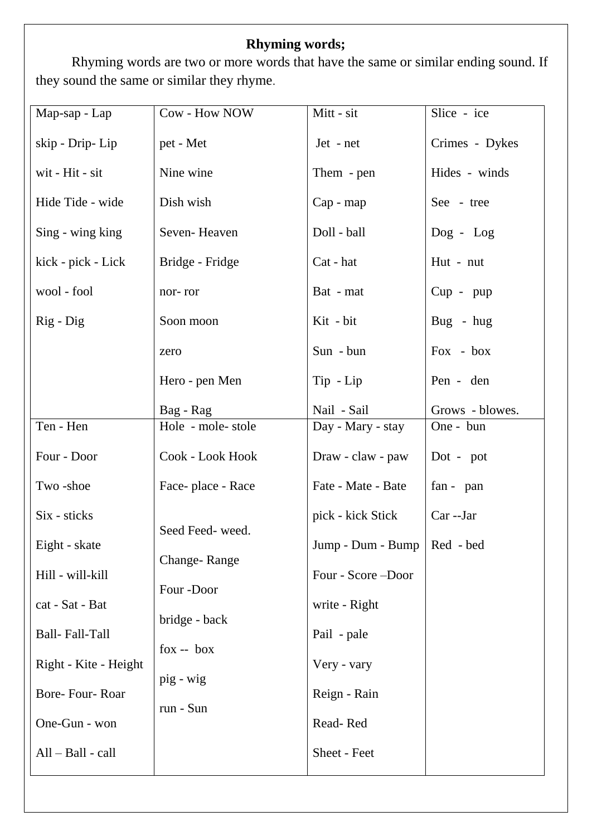## **Rhyming words;**

Rhyming words are two or more words that have the same or similar ending sound. If they sound the same or similar they rhyme.

| Map-sap - Lap         | Cow - How NOW     | Mitt - sit                    | Slice - ice     |
|-----------------------|-------------------|-------------------------------|-----------------|
| skip - Drip- Lip      | pet - Met         | Jet - net                     | Crimes - Dykes  |
| wit - Hit - sit       | Nine wine         | Them - pen                    | Hides - winds   |
| Hide Tide - wide      | Dish wish         | Cap - map                     | See - tree      |
| Sing - wing king      | Seven-Heaven      | Doll - ball                   | $Dog - Log$     |
| kick - pick - Lick    | Bridge - Fridge   | Cat - hat                     | Hut - nut       |
| wool - fool           | nor-ror           | Bat - mat                     | $Cup$ - $pup$   |
| Rig - Dig             | Soon moon         | Kit - bit                     | Bug - hug       |
|                       | zero              | Sun - bun                     | Fox - box       |
|                       | Hero - pen Men    | Tip - Lip                     | Pen - den       |
|                       | Bag - Rag         | Nail - Sail                   | Grows - blowes. |
| Ten - Hen             | Hole - mole-stole | Day - Mary - stay             | One - bun       |
| Four - Door           | Cook - Look Hook  | Draw - claw - paw             | Dot - pot       |
| Two-shoe              | Face-place - Race | Fate - Mate - Bate            | fan - pan       |
| Six - sticks          | Seed Feed-weed.   | pick - kick Stick             | Car--Jar        |
| Eight - skate         | Change-Range      | Jump - Dum - Bump   Red - bed |                 |
| Hill - will-kill      | Four-Door         | Four - Score - Door           |                 |
| cat - Sat - Bat       | bridge - back     | write - Right                 |                 |
| Ball-Fall-Tall        | $fox - box$       | Pail - pale                   |                 |
| Right - Kite - Height | pig - wig         | Very - vary                   |                 |
| Bore-Four-Roar        | run - Sun         | Reign - Rain                  |                 |
| One-Gun - won         |                   | Read-Red                      |                 |
| All - Ball - call     |                   | Sheet - Feet                  |                 |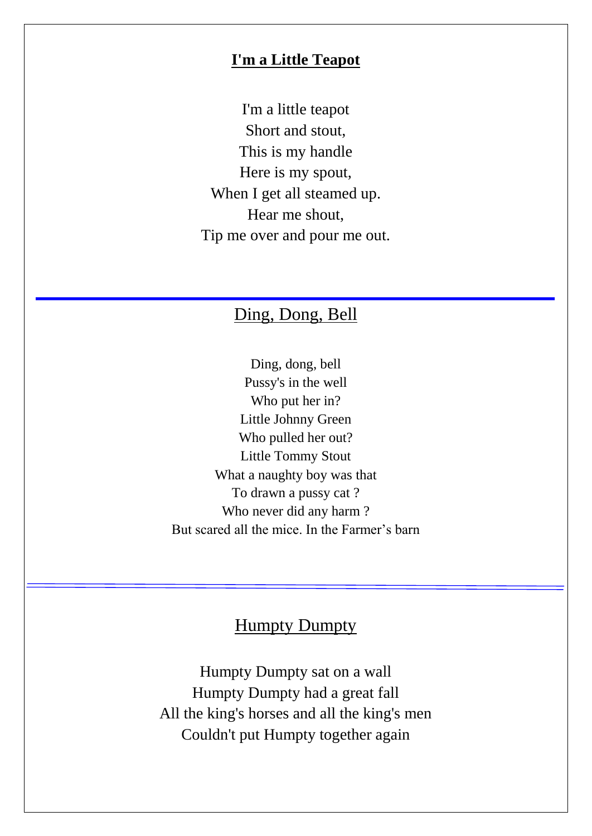### **I'm a Little Teapot**

I'm a little teapot Short and stout, This is my handle Here is my spout, When I get all steamed up. Hear me shout, Tip me over and pour me out.

# Ding, Dong, Bell

Ding, dong, bell Pussy's in the well Who put her in? Little Johnny Green Who pulled her out? Little Tommy Stout What a naughty boy was that To drawn a pussy cat ? Who never did any harm ? But scared all the mice. In the Farmer's barn

## **Humpty Dumpty**

Humpty Dumpty sat on a wall Humpty Dumpty had a great fall All the king's horses and all the king's men Couldn't put Humpty together again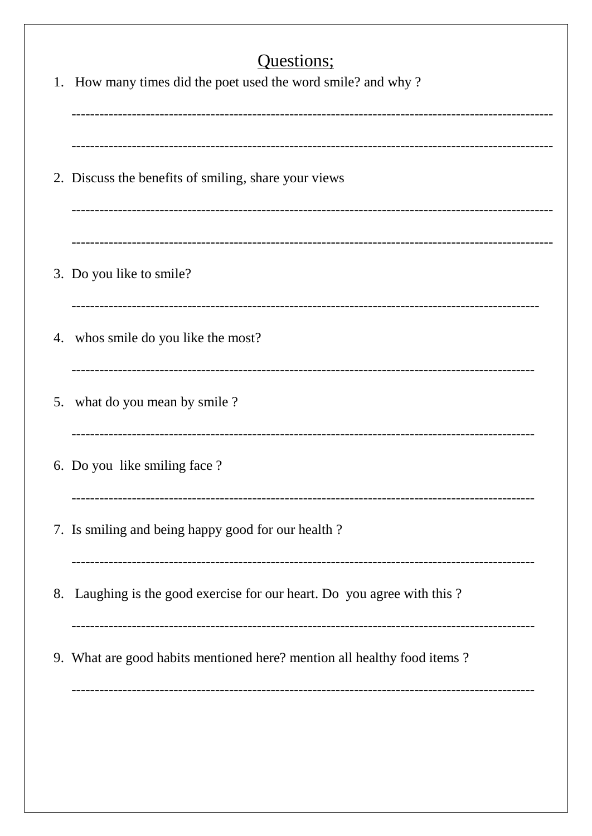| Questions;<br>1. How many times did the poet used the word smile? and why? |
|----------------------------------------------------------------------------|
| 2. Discuss the benefits of smiling, share your views                       |
| 3. Do you like to smile?                                                   |
| 4. whos smile do you like the most?                                        |
| 5. what do you mean by smile?                                              |
| 6. Do you like smiling face ?                                              |
| 7. Is smiling and being happy good for our health?                         |
| 8. Laughing is the good exercise for our heart. Do you agree with this?    |
| 9. What are good habits mentioned here? mention all healthy food items?    |
|                                                                            |